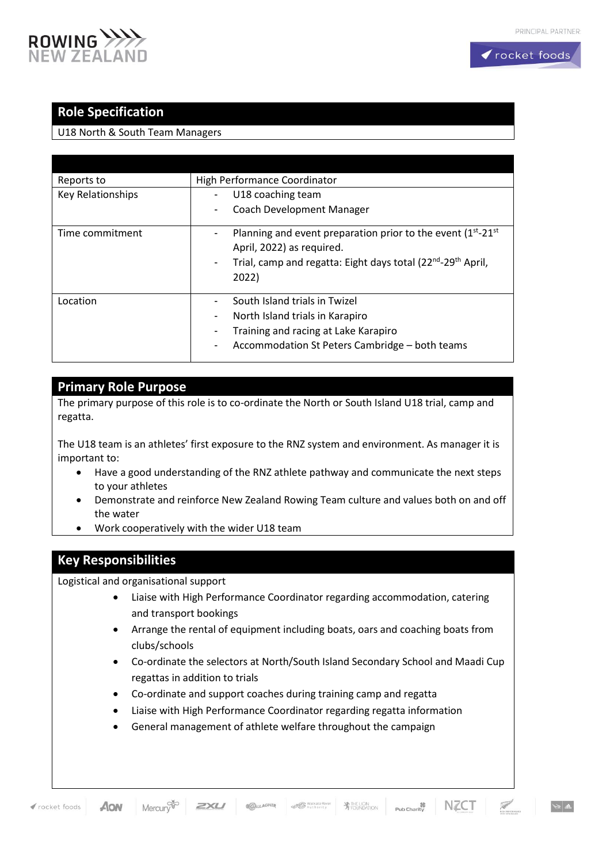

## **Role Specification**

U18 North & South Team Managers

| Reports to        | High Performance Coordinator                                                              |
|-------------------|-------------------------------------------------------------------------------------------|
| Key Relationships | U18 coaching team                                                                         |
|                   | Coach Development Manager<br>۰                                                            |
| Time commitment   | Planning and event preparation prior to the event $(1^{st}$ -21 <sup>st</sup>             |
|                   | April, 2022) as required.                                                                 |
|                   | Trial, camp and regatta: Eight days total (22 <sup>nd</sup> -29 <sup>th</sup> April,<br>- |
|                   | 2022)                                                                                     |
| Location          | South Island trials in Twizel                                                             |
|                   | North Island trials in Karapiro<br>۰                                                      |
|                   | Training and racing at Lake Karapiro<br>۰                                                 |
|                   | Accommodation St Peters Cambridge - both teams<br>۰                                       |

## **Primary Role Purpose**

The primary purpose of this role is to co-ordinate the North or South Island U18 trial, camp and regatta.

The U18 team is an athletes' first exposure to the RNZ system and environment. As manager it is important to:

- Have a good understanding of the RNZ athlete pathway and communicate the next steps to your athletes
- Demonstrate and reinforce New Zealand Rowing Team culture and values both on and off the water
- Work cooperatively with the wider U18 team

## **Key Responsibilities**

Logistical and organisational support

- Liaise with High Performance Coordinator regarding accommodation, catering and transport bookings
- Arrange the rental of equipment including boats, oars and coaching boats from clubs/schools
- Co-ordinate the selectors at North/South Island Secondary School and Maadi Cup regattas in addition to trials
- Co-ordinate and support coaches during training camp and regatta
- Liaise with High Performance Coordinator regarding regatta information
- General management of athlete welfare throughout the campaign

 $A$ ON